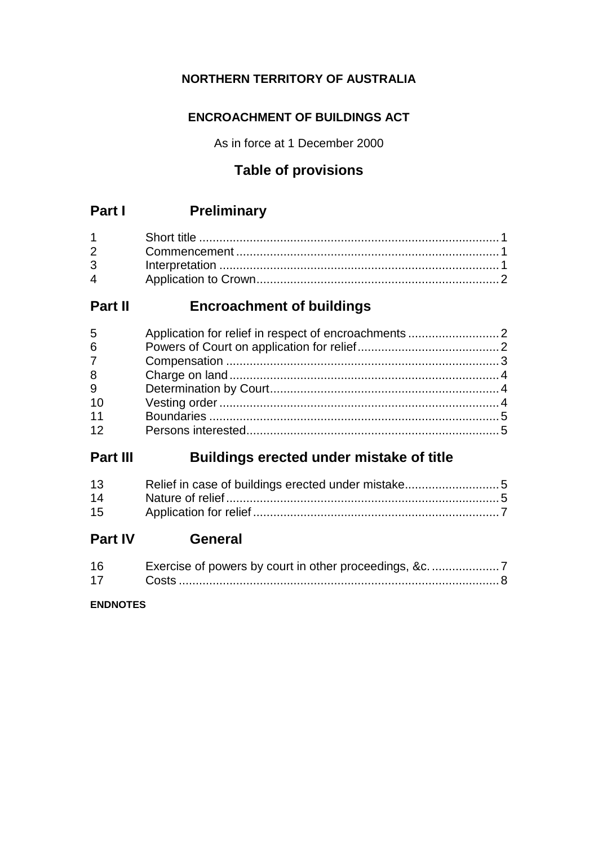# **NORTHERN TERRITORY OF AUSTRALIA**

# **ENCROACHMENT OF BUILDINGS ACT**

As in force at 1 December 2000

# **Table of provisions**

# **Part I Preliminary**

| $\mathbf 4$ |  |
|-------------|--|

# **Part II Encroachment of buildings**

| 5              |  |
|----------------|--|
| $6\phantom{1}$ |  |
| $\overline{7}$ |  |
| 8              |  |
| 9              |  |
| 10             |  |
| 11             |  |
| 12             |  |

# **Part III Buildings erected under mistake of title**

| 13 | Relief in case of buildings erected under mistake5 |  |
|----|----------------------------------------------------|--|
| 14 |                                                    |  |
| 15 |                                                    |  |

# **Part IV General**

| 16 |  |
|----|--|
| 17 |  |

## **ENDNOTES**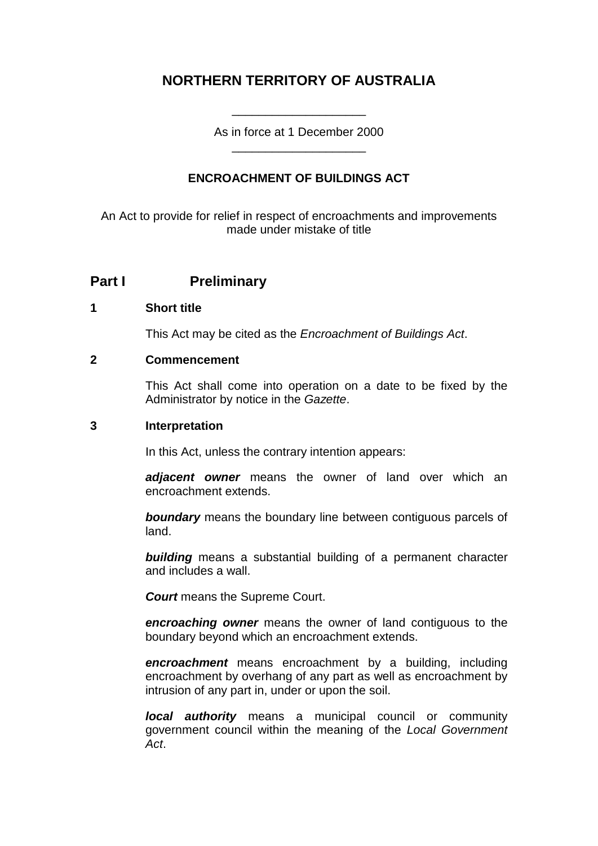# **NORTHERN TERRITORY OF AUSTRALIA**

As in force at 1 December 2000 \_\_\_\_\_\_\_\_\_\_\_\_\_\_\_\_\_\_\_\_

\_\_\_\_\_\_\_\_\_\_\_\_\_\_\_\_\_\_\_\_

## **ENCROACHMENT OF BUILDINGS ACT**

An Act to provide for relief in respect of encroachments and improvements made under mistake of title

## **Part I Preliminary**

## **1 Short title**

This Act may be cited as the *Encroachment of Buildings Act*.

#### **2 Commencement**

This Act shall come into operation on a date to be fixed by the Administrator by notice in the *Gazette*.

#### **3 Interpretation**

In this Act, unless the contrary intention appears:

*adjacent owner* means the owner of land over which an encroachment extends.

*boundary* means the boundary line between contiguous parcels of land.

*building* means a substantial building of a permanent character and includes a wall.

*Court* means the Supreme Court.

*encroaching owner* means the owner of land contiguous to the boundary beyond which an encroachment extends.

*encroachment* means encroachment by a building, including encroachment by overhang of any part as well as encroachment by intrusion of any part in, under or upon the soil.

*local authority* means a municipal council or community government council within the meaning of the *Local Government Act*.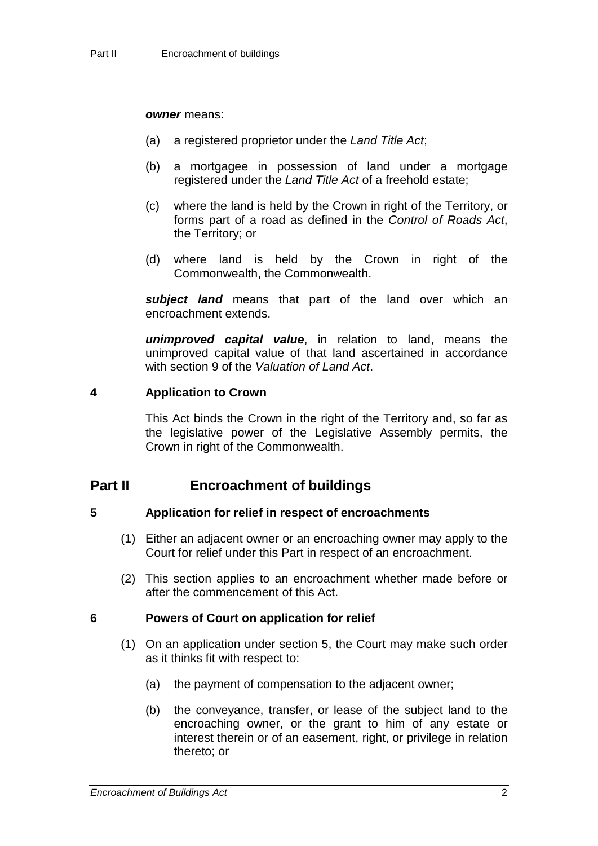#### *owner* means:

- (a) a registered proprietor under the *Land Title Act*;
- (b) a mortgagee in possession of land under a mortgage registered under the *Land Title Act* of a freehold estate;
- (c) where the land is held by the Crown in right of the Territory, or forms part of a road as defined in the *Control of Roads Act*, the Territory; or
- (d) where land is held by the Crown in right of the Commonwealth, the Commonwealth.

subject land means that part of the land over which an encroachment extends.

*unimproved capital value*, in relation to land, means the unimproved capital value of that land ascertained in accordance with section 9 of the *Valuation of Land Act*.

#### **4 Application to Crown**

This Act binds the Crown in the right of the Territory and, so far as the legislative power of the Legislative Assembly permits, the Crown in right of the Commonwealth.

## **Part II Encroachment of buildings**

#### **5 Application for relief in respect of encroachments**

- (1) Either an adjacent owner or an encroaching owner may apply to the Court for relief under this Part in respect of an encroachment.
- (2) This section applies to an encroachment whether made before or after the commencement of this Act.

#### **6 Powers of Court on application for relief**

- (1) On an application under section 5, the Court may make such order as it thinks fit with respect to:
	- (a) the payment of compensation to the adjacent owner;
	- (b) the conveyance, transfer, or lease of the subject land to the encroaching owner, or the grant to him of any estate or interest therein or of an easement, right, or privilege in relation thereto; or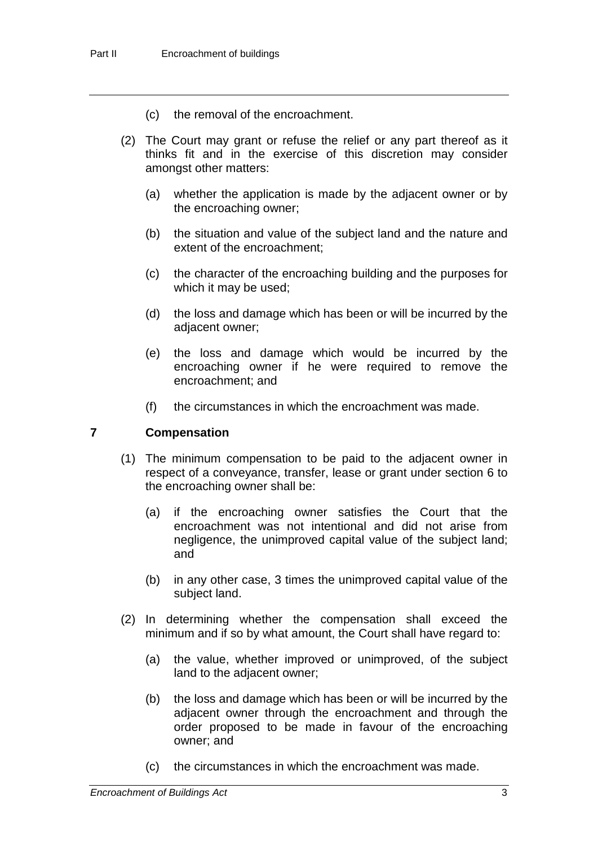- (c) the removal of the encroachment.
- (2) The Court may grant or refuse the relief or any part thereof as it thinks fit and in the exercise of this discretion may consider amongst other matters:
	- (a) whether the application is made by the adjacent owner or by the encroaching owner;
	- (b) the situation and value of the subject land and the nature and extent of the encroachment;
	- (c) the character of the encroaching building and the purposes for which it may be used;
	- (d) the loss and damage which has been or will be incurred by the adjacent owner;
	- (e) the loss and damage which would be incurred by the encroaching owner if he were required to remove the encroachment; and
	- (f) the circumstances in which the encroachment was made.

## **7 Compensation**

- (1) The minimum compensation to be paid to the adjacent owner in respect of a conveyance, transfer, lease or grant under section 6 to the encroaching owner shall be:
	- (a) if the encroaching owner satisfies the Court that the encroachment was not intentional and did not arise from negligence, the unimproved capital value of the subject land; and
	- (b) in any other case, 3 times the unimproved capital value of the subject land.
- (2) In determining whether the compensation shall exceed the minimum and if so by what amount, the Court shall have regard to:
	- (a) the value, whether improved or unimproved, of the subject land to the adjacent owner;
	- (b) the loss and damage which has been or will be incurred by the adjacent owner through the encroachment and through the order proposed to be made in favour of the encroaching owner; and
	- (c) the circumstances in which the encroachment was made.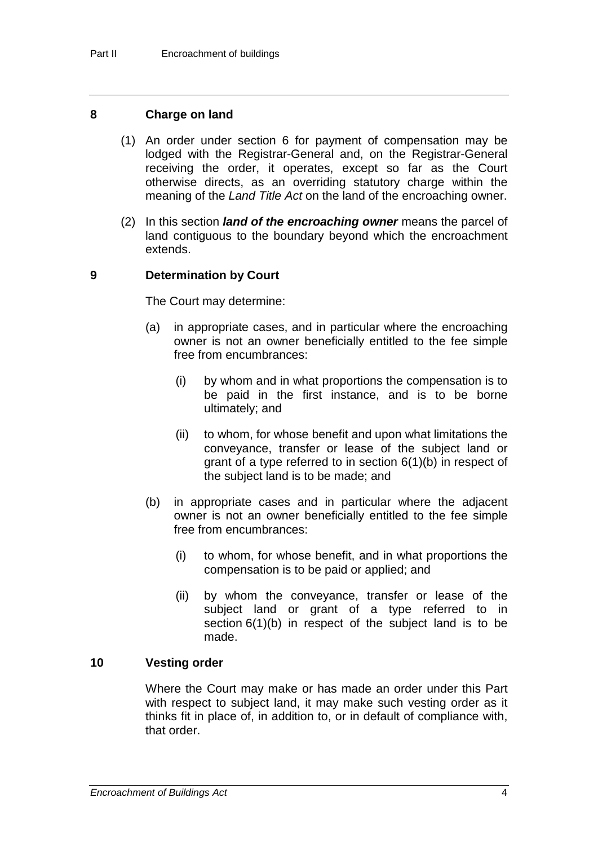#### **8 Charge on land**

- (1) An order under section 6 for payment of compensation may be lodged with the Registrar-General and, on the Registrar-General receiving the order, it operates, except so far as the Court otherwise directs, as an overriding statutory charge within the meaning of the *Land Title Act* on the land of the encroaching owner.
- (2) In this section *land of the encroaching owner* means the parcel of land contiguous to the boundary beyond which the encroachment extends.

## **9 Determination by Court**

The Court may determine:

- (a) in appropriate cases, and in particular where the encroaching owner is not an owner beneficially entitled to the fee simple free from encumbrances:
	- (i) by whom and in what proportions the compensation is to be paid in the first instance, and is to be borne ultimately; and
	- (ii) to whom, for whose benefit and upon what limitations the conveyance, transfer or lease of the subject land or grant of a type referred to in section 6(1)(b) in respect of the subject land is to be made; and
- (b) in appropriate cases and in particular where the adjacent owner is not an owner beneficially entitled to the fee simple free from encumbrances:
	- (i) to whom, for whose benefit, and in what proportions the compensation is to be paid or applied; and
	- (ii) by whom the conveyance, transfer or lease of the subject land or grant of a type referred to in section  $6(1)(b)$  in respect of the subject land is to be made.

#### **10 Vesting order**

Where the Court may make or has made an order under this Part with respect to subject land, it may make such vesting order as it thinks fit in place of, in addition to, or in default of compliance with, that order.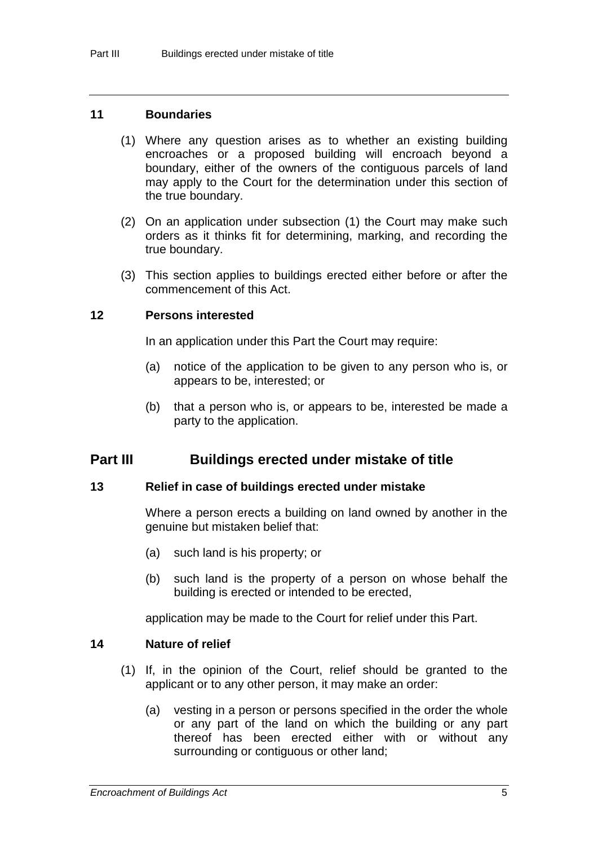#### **11 Boundaries**

- (1) Where any question arises as to whether an existing building encroaches or a proposed building will encroach beyond a boundary, either of the owners of the contiguous parcels of land may apply to the Court for the determination under this section of the true boundary.
- (2) On an application under subsection (1) the Court may make such orders as it thinks fit for determining, marking, and recording the true boundary.
- (3) This section applies to buildings erected either before or after the commencement of this Act.

#### **12 Persons interested**

In an application under this Part the Court may require:

- (a) notice of the application to be given to any person who is, or appears to be, interested; or
- (b) that a person who is, or appears to be, interested be made a party to the application.

## **Part III Buildings erected under mistake of title**

#### **13 Relief in case of buildings erected under mistake**

Where a person erects a building on land owned by another in the genuine but mistaken belief that:

- (a) such land is his property; or
- (b) such land is the property of a person on whose behalf the building is erected or intended to be erected,

application may be made to the Court for relief under this Part.

## **14 Nature of relief**

- (1) If, in the opinion of the Court, relief should be granted to the applicant or to any other person, it may make an order:
	- (a) vesting in a person or persons specified in the order the whole or any part of the land on which the building or any part thereof has been erected either with or without any surrounding or contiguous or other land;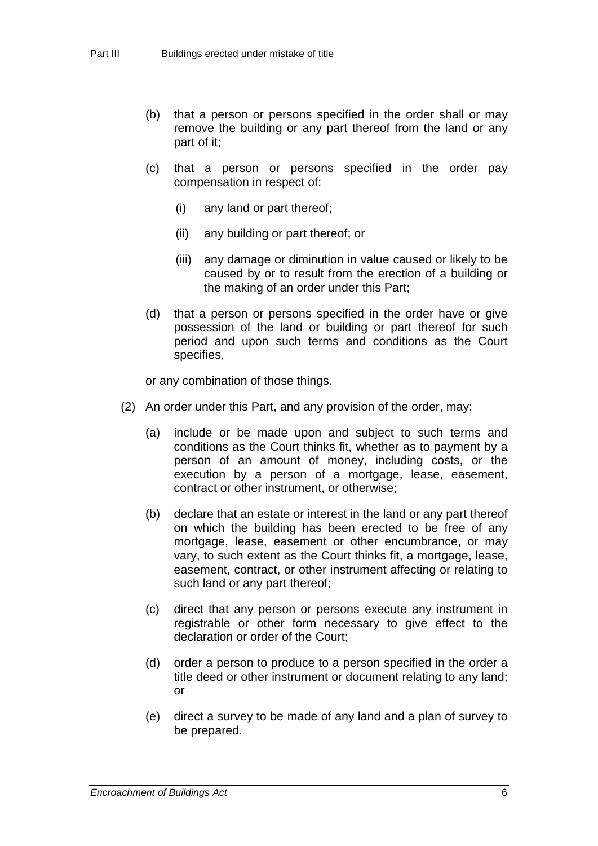- (b) that a person or persons specified in the order shall or may remove the building or any part thereof from the land or any part of it;
- (c) that a person or persons specified in the order pay compensation in respect of:
	- (i) any land or part thereof;
	- (ii) any building or part thereof; or
	- (iii) any damage or diminution in value caused or likely to be caused by or to result from the erection of a building or the making of an order under this Part;
- (d) that a person or persons specified in the order have or give possession of the land or building or part thereof for such period and upon such terms and conditions as the Court specifies,

or any combination of those things.

- (2) An order under this Part, and any provision of the order, may:
	- (a) include or be made upon and subject to such terms and conditions as the Court thinks fit, whether as to payment by a person of an amount of money, including costs, or the execution by a person of a mortgage, lease, easement, contract or other instrument, or otherwise;
	- (b) declare that an estate or interest in the land or any part thereof on which the building has been erected to be free of any mortgage, lease, easement or other encumbrance, or may vary, to such extent as the Court thinks fit, a mortgage, lease, easement, contract, or other instrument affecting or relating to such land or any part thereof;
	- (c) direct that any person or persons execute any instrument in registrable or other form necessary to give effect to the declaration or order of the Court;
	- (d) order a person to produce to a person specified in the order a title deed or other instrument or document relating to any land; or
	- (e) direct a survey to be made of any land and a plan of survey to be prepared.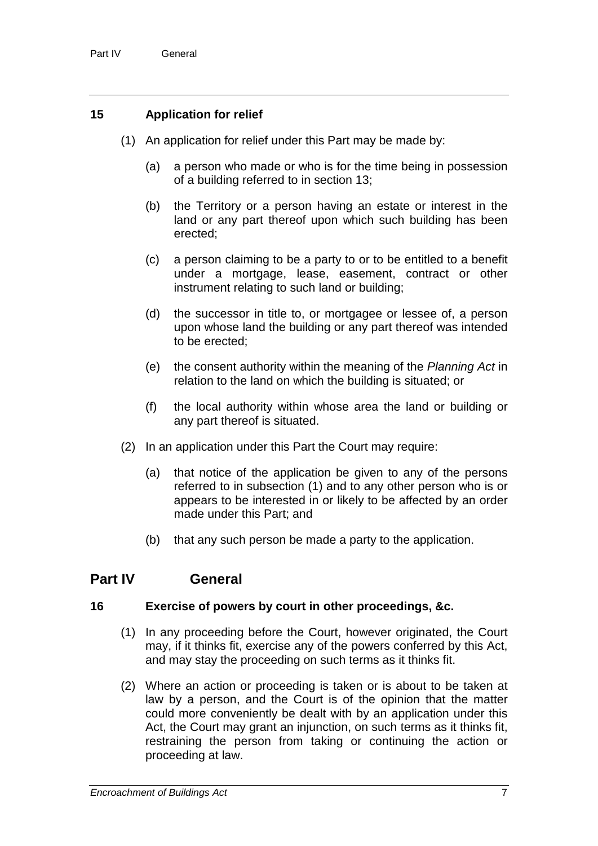## **15 Application for relief**

- (1) An application for relief under this Part may be made by:
	- (a) a person who made or who is for the time being in possession of a building referred to in section 13;
	- (b) the Territory or a person having an estate or interest in the land or any part thereof upon which such building has been erected;
	- (c) a person claiming to be a party to or to be entitled to a benefit under a mortgage, lease, easement, contract or other instrument relating to such land or building;
	- (d) the successor in title to, or mortgagee or lessee of, a person upon whose land the building or any part thereof was intended to be erected;
	- (e) the consent authority within the meaning of the *Planning Act* in relation to the land on which the building is situated; or
	- (f) the local authority within whose area the land or building or any part thereof is situated.
- (2) In an application under this Part the Court may require:
	- (a) that notice of the application be given to any of the persons referred to in subsection (1) and to any other person who is or appears to be interested in or likely to be affected by an order made under this Part; and
	- (b) that any such person be made a party to the application.

## **Part IV General**

## **16 Exercise of powers by court in other proceedings, &c.**

- (1) In any proceeding before the Court, however originated, the Court may, if it thinks fit, exercise any of the powers conferred by this Act, and may stay the proceeding on such terms as it thinks fit.
- (2) Where an action or proceeding is taken or is about to be taken at law by a person, and the Court is of the opinion that the matter could more conveniently be dealt with by an application under this Act, the Court may grant an injunction, on such terms as it thinks fit, restraining the person from taking or continuing the action or proceeding at law.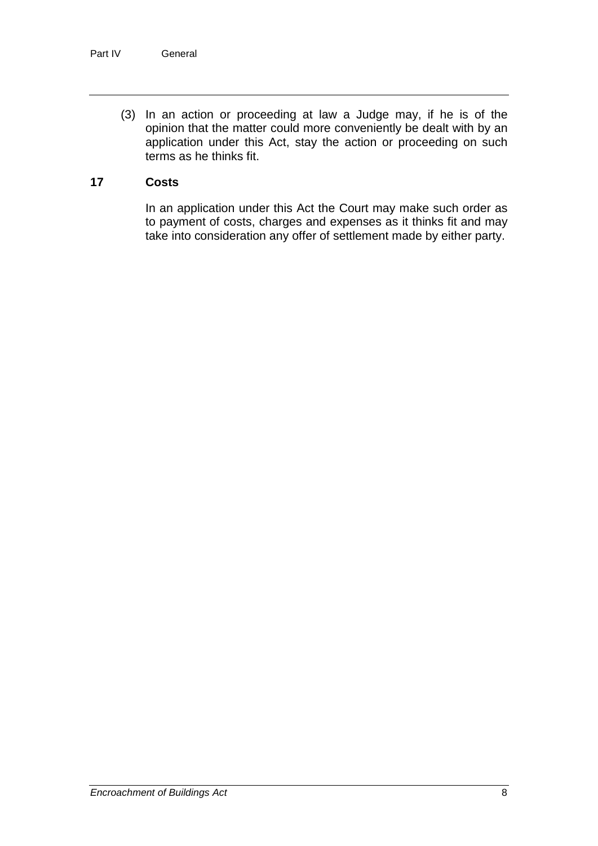(3) In an action or proceeding at law a Judge may, if he is of the opinion that the matter could more conveniently be dealt with by an application under this Act, stay the action or proceeding on such terms as he thinks fit.

#### **17 Costs**

In an application under this Act the Court may make such order as to payment of costs, charges and expenses as it thinks fit and may take into consideration any offer of settlement made by either party.